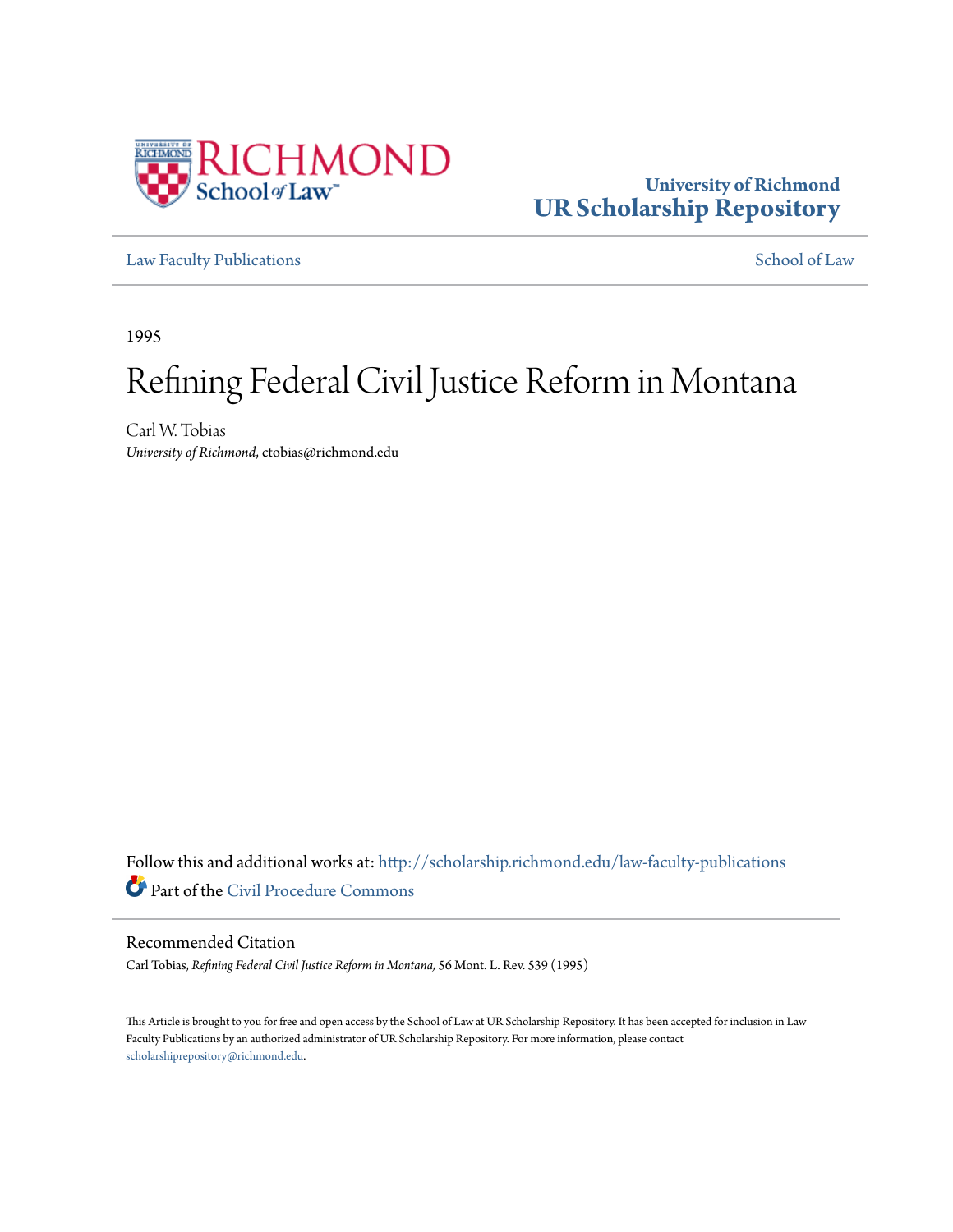

# **University of Richmond [UR Scholarship Repository](http://scholarship.richmond.edu?utm_source=scholarship.richmond.edu%2Flaw-faculty-publications%2F841&utm_medium=PDF&utm_campaign=PDFCoverPages)**

[Law Faculty Publications](http://scholarship.richmond.edu/law-faculty-publications?utm_source=scholarship.richmond.edu%2Flaw-faculty-publications%2F841&utm_medium=PDF&utm_campaign=PDFCoverPages) [School of Law](http://scholarship.richmond.edu/law?utm_source=scholarship.richmond.edu%2Flaw-faculty-publications%2F841&utm_medium=PDF&utm_campaign=PDFCoverPages)

1995

# Refining Federal Civil Justice Reform in Montana

Carl W. Tobias *University of Richmond*, ctobias@richmond.edu

Follow this and additional works at: [http://scholarship.richmond.edu/law-faculty-publications](http://scholarship.richmond.edu/law-faculty-publications?utm_source=scholarship.richmond.edu%2Flaw-faculty-publications%2F841&utm_medium=PDF&utm_campaign=PDFCoverPages) Part of the [Civil Procedure Commons](http://network.bepress.com/hgg/discipline/584?utm_source=scholarship.richmond.edu%2Flaw-faculty-publications%2F841&utm_medium=PDF&utm_campaign=PDFCoverPages)

# Recommended Citation

Carl Tobias, *Refining Federal Civil Justice Reform in Montana,* 56 Mont. L. Rev. 539 (1995)

This Article is brought to you for free and open access by the School of Law at UR Scholarship Repository. It has been accepted for inclusion in Law Faculty Publications by an authorized administrator of UR Scholarship Repository. For more information, please contact [scholarshiprepository@richmond.edu.](mailto:scholarshiprepository@richmond.edu)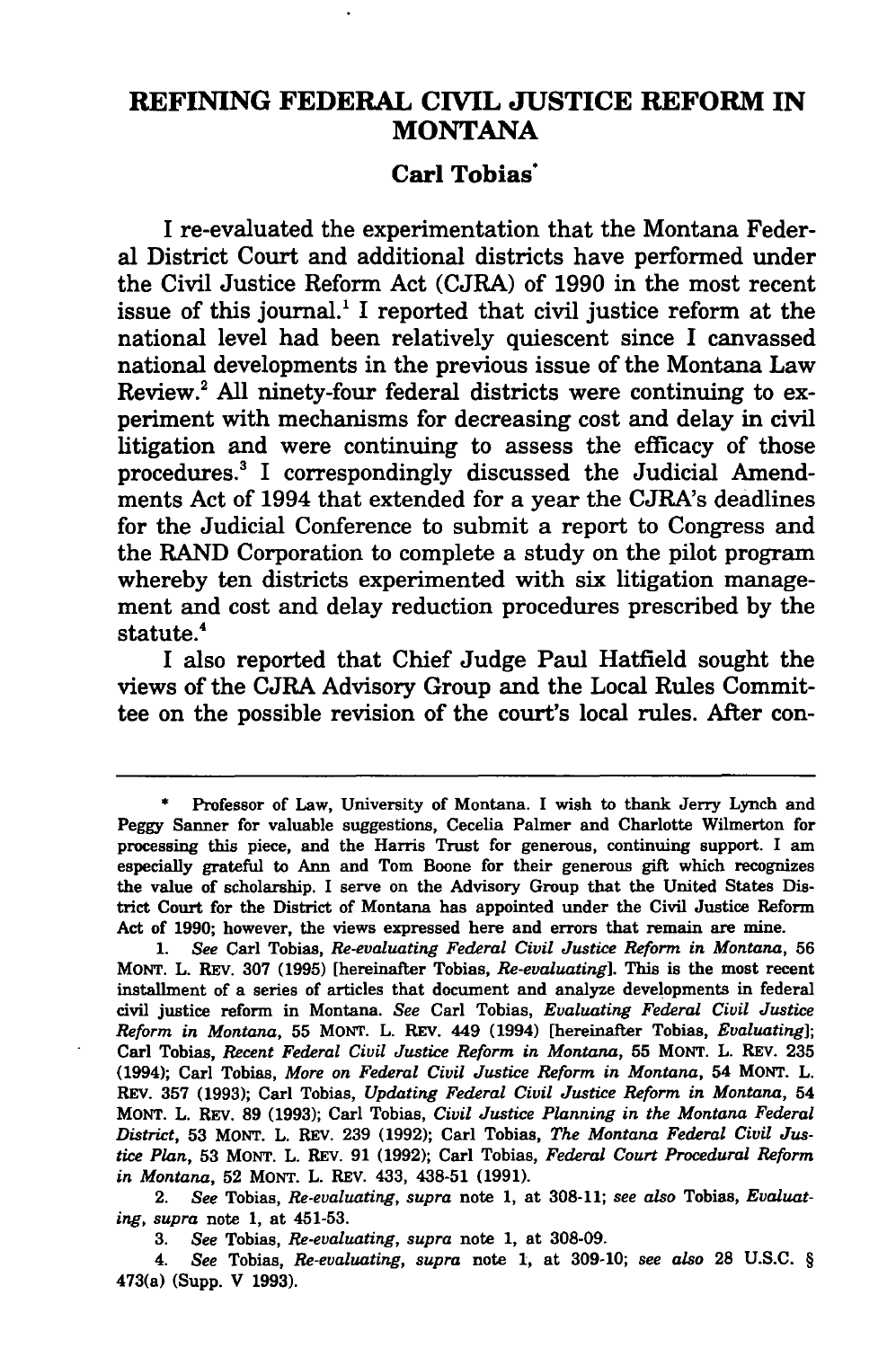# REFINING FEDERAL CIVIL JUSTICE REFORM IN **MONTANA**

# Carl Tobias·

I re-evaluated the experimentation that the Montana Federal District Court and additional districts have performed under the Civil Justice Reform Act (CJRA) of 1990 in the most recent issue of this journal.<sup>1</sup> I reported that civil justice reform at the national level had been relatively quiescent since I canvassed national developments in the previous issue of the Montana Law Review.<sup>2</sup> All ninety-four federal districts were continuing to experiment with mechanisms for decreasing cost and delay in civil litigation and were continuing to assess the efficacy of those procedures.3 I correspondingly discussed the Judicial Amendments Act of 1994 that extended for a year the CJRA's deadlines for the Judicial Conference to submit a report to Congress and the RAND Corporation to complete a study on the pilot program whereby ten districts experimented with six litigation management and cost and delay reduction procedures prescribed by the statute.<sup>4</sup>

I also reported that Chief Judge Paul Hatfield sought the views of the CJRA Advisory Group and the Local Rules Committee on the possible revision of the court's local rules. After con-

1. *See* Carl Tobias, *Re-evaluating Federal Civil Justice Reform in Montana,* 56 MONT. L. REv. 307 (1995) [hereinafter Tobias, *Re-evaluating].* This is the most recent installment of a series of articles that document and analyze developments in federal civil justice reform in Montana. *See* Carl Tobias, *Evaluating Federal Civil Justice Reform in Montana,* 55 MONT. L. REv. 449 (1994) [hereinafter Tobias, *Evaluating];*  Carl Tobias, *Recent Federal Civil Justice Reform in Montana,* 55 MONT. L. REv. 235 (1994); Carl Tobias, *More on Federal Civil Justice Reform in Montana,* 54 MONT. L. REv. 357 (1993); Carl Tobias, *Updating Federal Civil Justice Reform in Montana,* 54 MONT. L. REV. 89 (1993); Carl Tobias, *Civil Justice Planning in the Montana Federal District,* 53 MONT. L. REV. 239 (1992); Carl Tobias, *The Montana Federal Civil Justice Plan,* 53 MONT. L. REv. 91 (1992); Carl Tobias, *Federal Court Procedural Reform in Montana,* 52 MONT. L. REv. 433, 438-51 (1991).

2. *See* Tobias, *Re-evaluating, supra* note 1, at 308-11; *see also* Tobias, *Evaluating, supra* note 1, at 451-53.

3. *See* Tobias, *Re-evaluating, supra* note 1, at 308-09.

4. *See* Tobias, *Re-evaluating, supra* note 1, at 309-10; *see also* 28 U.S.C. § 473(a) (Supp. V 1993).

<sup>•</sup> Professor of Law, University of Montana. I wish to thank Jerry Lynch and Peggy Sanner for valuable suggestions, Cecelia Palmer and Charlotte Wilmerton for processing this piece, and the Harris Trust for generous, continuing support. I am especially grateful to Ann and Tom Boone for their generous gift which recogni2es the value of scholarship. I serve on the Advisory Group that the United States District Court for the District of Montana has appointed under the Civil Justice Reform Act of 1990; however, the views expressed here and errors that remain are mine.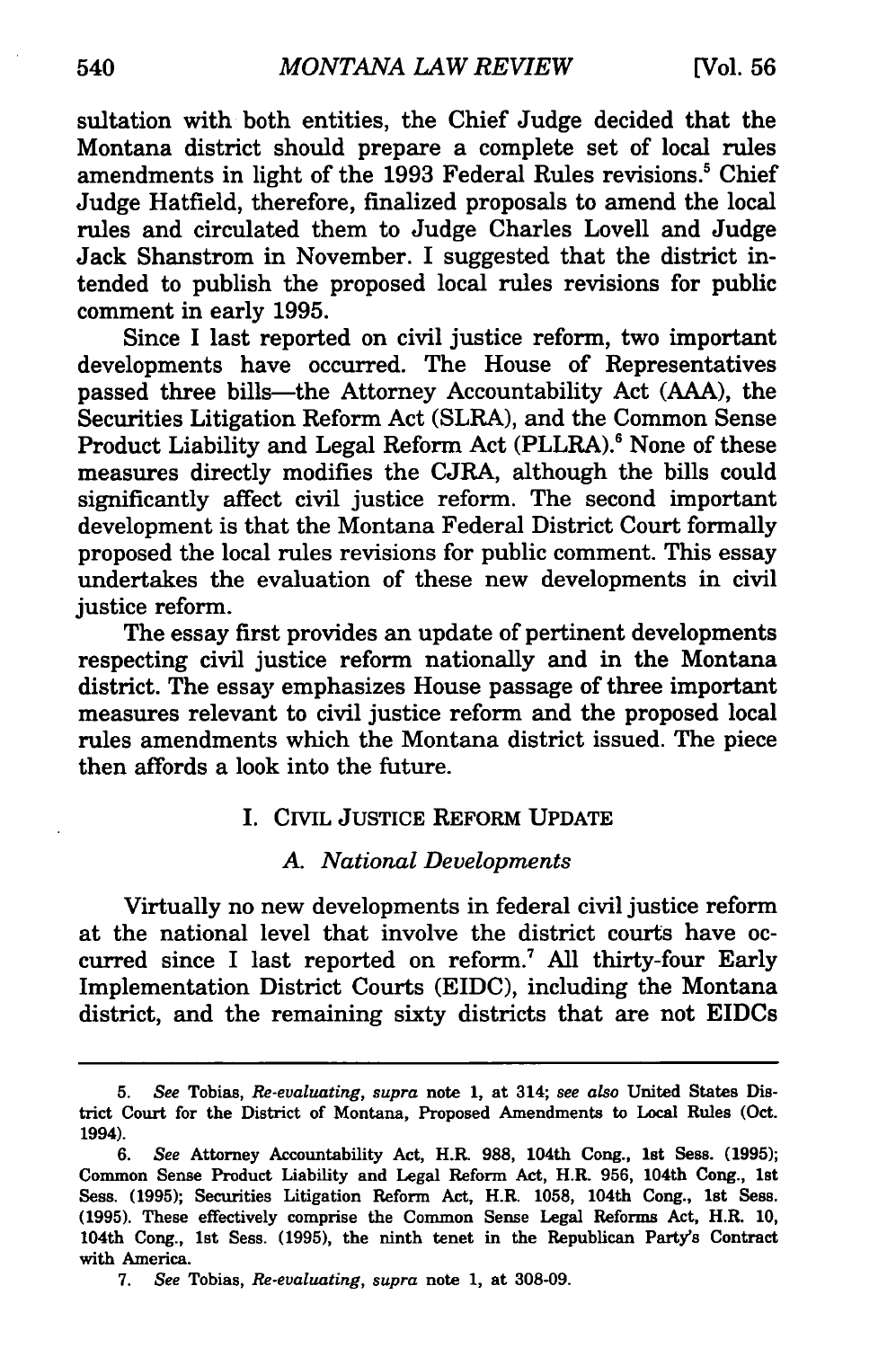sultation with both entities, the Chief Judge decided that the Montana district should prepare a complete set of local rules amendments in light of the 1993 Federal Rules revisions.<sup>5</sup> Chief Judge Hatfield, therefore, finalized proposals to amend the local rules and circulated them to Judge Charles Lovell and Judge Jack Shanstrom in November. I suggested that the district intended to publish the proposed local rules revisions for public comment in early 1995.

Since I last reported on civil justice reform, two important developments have occurred. The House of Representatives passed three bills—the Attorney Accountability Act (AAA), the Securities Litigation Reform Act (SLRA), and the Common Sense Product Liability and Legal Reform Act (PLLRA).<sup>6</sup> None of these measures directly modifies the CJRA, although the bills could significantly affect civil justice reform. The second important development is that the Montana Federal District Court formally proposed the local rules revisions for public comment. This essay undertakes the evaluation of these new developments in civil justice reform.

The essay first provides an update of pertinent developments respecting civil justice reform nationally and in the Montana district. The essay emphasizes House passage of three important measures relevant to civil justice reform and the proposed local rules amendments which the Montana district issued. The piece then affords a look into the future.

# I. CIVIL JUSTICE REFORM UPDATE

#### A. *National Developments*

Virtually no new developments in federal civil justice reform at the national level that involve the district courts have occurred since I last reported on reform.<sup>7</sup> All thirty-four Early Implementation District Courts (EIDC), including the Montana district, and the remaining sixty districts that are not EIDCs

<sup>5.</sup> *See* Tobias, *Re-evaluating, supra* note 1, at 314; *see also* United States District Court for the District of Montana, Proposed Amendments to Local Rules (Oct. 1994).

<sup>6.</sup> *See* Attorney Accountability Act, H.R. 988, 104th Cong., 1st Sess. (1995); Common Sense Product Liability and Legal Reform Act, H.R. 956, 104th Cong., 1st Sess. (1995); Securities Litigation Reform Act, H.R. 1058, 104th Cong., 1st Sess. (1995). These effectively comprise the Common Sense Legal Reforms Act, H.R. 10, 104th Cong., 1st Sess. (1995), the ninth tenet in the Republican Party's Contract with America.

<sup>7.</sup> *See* Tobias, *Re-evaluating, supra* note 1, at 308-09.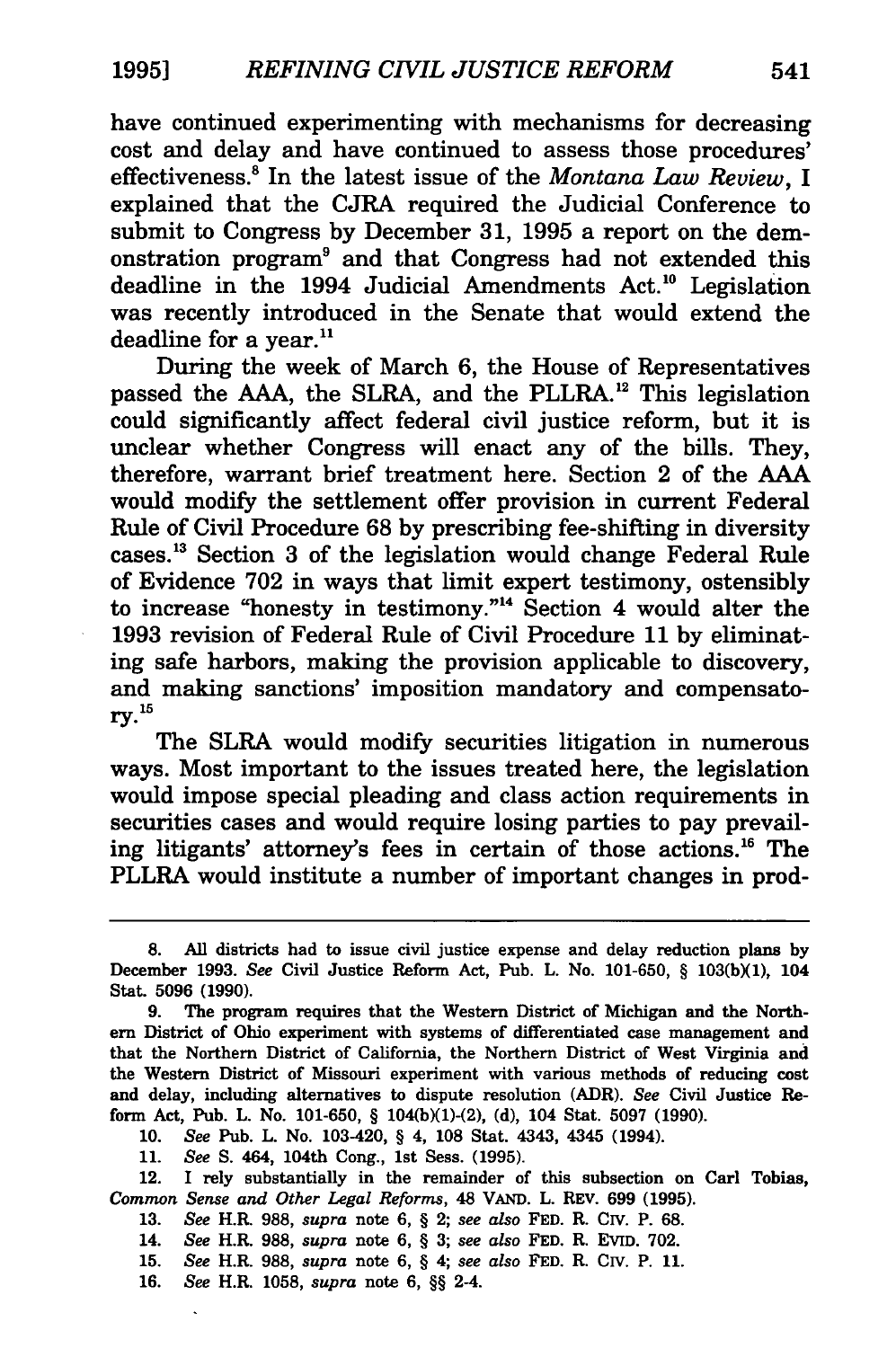have continued experimenting with mechanisms for decreasing cost and delay and have continued to assess those procedures' effectiveness.8 In the latest issue of the *Montana Law Review,* I explained that the CJRA required the Judicial Conference to submit to Congress by December 31, 1995 a report on the demonstration program9 and that Congress had not extended this deadline in the 1994 Judicial Amendments Act.<sup>10</sup> Legislation was recently introduced in the Senate that would extend the deadline for a year. $11$ 

During the week of March 6, the House of Representatives passed the AAA, the SLRA, and the PLLRA.<sup>12</sup> This legislation could significantly affect federal civil justice reform, but it is unclear whether Congress will enact any of the bills. They, therefore, warrant brief treatment here. Section 2 of the AAA would modify the settlement offer provision in current Federal Rule of Civil Procedure 68 by prescribing fee-shifting in diversity cases. 13 Section 3 of the legislation would change Federal Rule of Evidence 702 in ways that limit expert testimony, ostensibly to increase "honesty in testimony."14 Section 4 would alter the 1993 revision of Federal Rule of Civil Procedure 11 by eliminating safe harbors, making the provision applicable to discovery, and making sanctions' imposition mandatory and compensatory. 1s

The SLRA would modify securities litigation in numerous ways. Most important to the issues treated here, the legislation would impose special pleading and class action requirements in securities cases and would require losing parties to pay prevailing litigants' attorney's fees in certain of those actions. 16 The PLLRA would institute a number of important changes in prod-

10. *See* Pub. L. No. 103-420, § 4, 108 Stat. 4343, 4345 (1994).

11. *See* S. 464, 104th Cong., 1st Sess. (1995).

12. I rely substantially in the remainder of this subsection on Carl Tobias, *Common Sense and Other Legal Reforms,* 48 VAND. L. REV. 699 (1995).

13. *See* H.R. 988, *supra* note 6, § 2; *see also* FED. R. CIV. P. 68.

14. *See* H.R. 988, *supra* note 6, § 3; *see also* FED. R. Evrn. 702.

15. *See* H.R. 988, *supra* note 6, § 4; *see also* FED. R. CIV. P. 11.

16. *See* H.R. 1058, *supra* note 6, §§ 2-4.

<sup>8.</sup> All districts had to issue civil justice expense and delay reduction plans by December 1993. See Civil Justice Reform Act, Pub. L. No. 101-650, § 103(b)(1), 104 Stat. 5096 (1990).

<sup>9.</sup> The program requires that the Western District of Michigan and the Northern District of Ohio experiment with systems of differentiated case management and that the Northern District of California, the Northern District of West Virginia and the Western District of Missouri experiment with various methods of reducing cost and delay, including alternatives to dispute resolution (ADR). *See* Civil Justice Reform Act, Pub. L. No. 101-650, § 104(b)(l)-(2), (d), 104 Stat. 5097 (1990).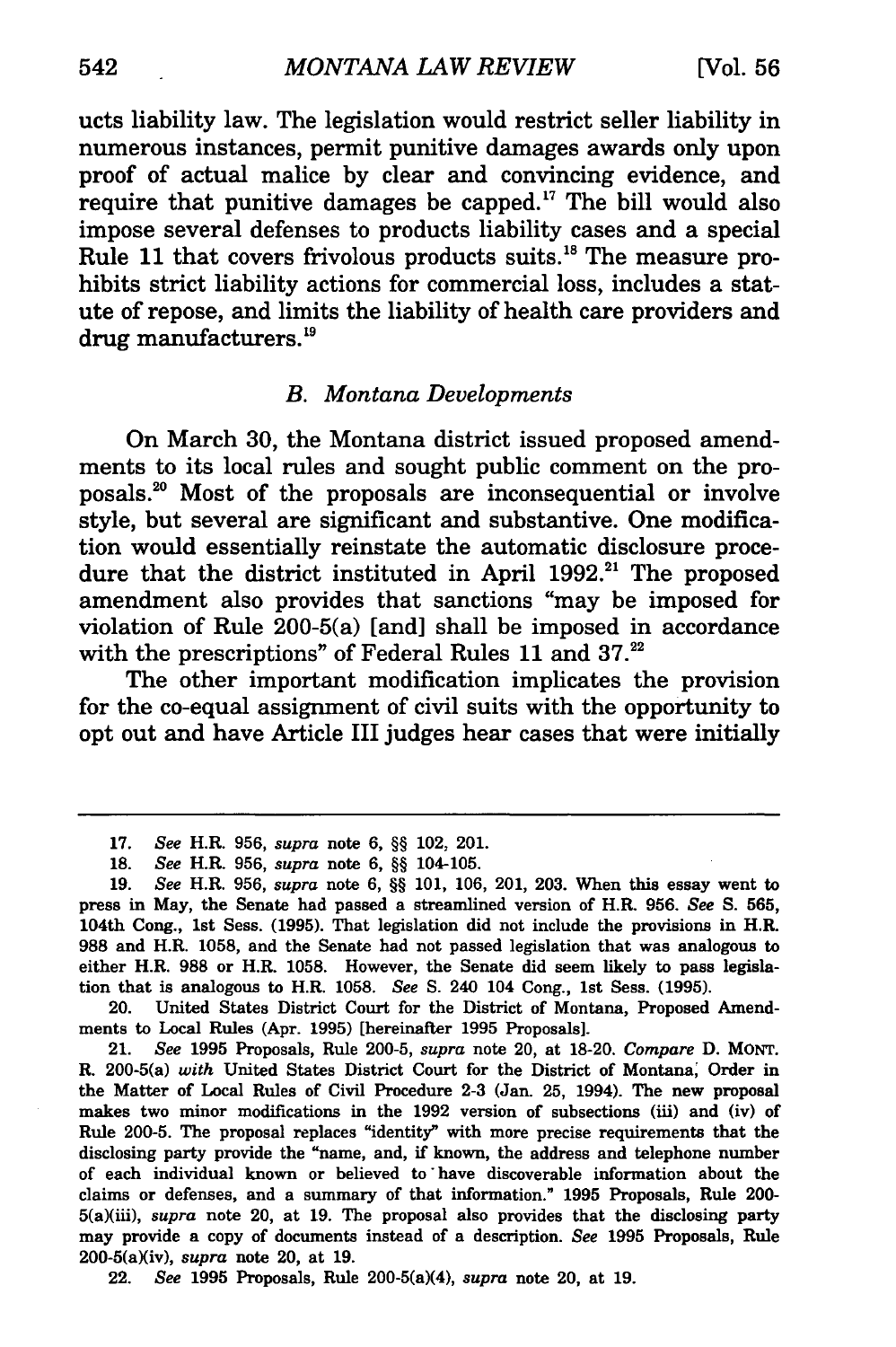ucts liability law. The legislation would restrict seller liability in numerous instances, permit punitive damages awards only upon proof of actual malice by clear and convincing evidence, and require that punitive damages be capped.<sup>17</sup> The bill would also impose several defenses to products liability cases and a special Rule 11 that covers frivolous products suits. 18 The measure prohibits strict liability actions for commercial loss, includes a statute of repose, and limits the liability of health care providers and drug manufacturers. 19

# B. *Montana Developments*

On March 30, the Montana district issued proposed amendments to its local rules and sought public comment on the proposals. 20 Most of the proposals are inconsequential or involve style, but several are significant and substantive. One modification would essentially reinstate the automatic disclosure procedure that the district instituted in April 1992.<sup>21</sup> The proposed amendment also provides that sanctions "may be imposed for violation of Rule 200-5(a) [and] shall be imposed in accordance with the prescriptions" of Federal Rules 11 and 37.<sup>22</sup>

The other important modification implicates the provision for the co-equal assignment of civil suits with the opportunity to opt out and have Article III judges hear cases that were initially

20. United States District Court for the District of Montana, Proposed Amendments to Local Rules (Apr. 1995) [hereinafter 1995 Proposals].

21. *See* 1995 Proposals, Rule 200-5, *supra* note 20, at 18-20. *Compare* D. MONT. R. 200-5(a) *with* United States District Court for the District of Montana; Order in the Matter of Local Rules of Civil Procedure 2-3 (Jan. 25, 1994). The new proposal makes two minor modifications in the 1992 version of subsections (iii) and (iv) of Rule 200-5. The proposal replaces "identity" with more precise requirements that the disclosing party provide the "name, and, if known, the address and telephone number of each individual known or believed to · have discoverable information about the claims or defenses, and a summary of that information." 1995 Proposals, Rule 200- 5(a)(iii), *supra* note 20, at 19. The proposal also provides that the disclosing party may provide a copy of documents instead of a description. *See* 1995 Proposals, Rule 200-5(a)(iv), *supra* note 20, at 19.

22. *See* 1995 Proposals, Rule 200-5(a)(4), *supra* note 20, at 19.

<sup>17.</sup> *See* H.R. 956, *supra* note 6, §§ 102, 201.

<sup>18.</sup> *See* H.R. 956, *supra* note 6, §§ 104-105.

<sup>19.</sup> *See* H.R. 956, *supra* note 6, §§ 101, 106, 201, 203. When this essay went to press in May, the Senate had passed a streamlined version of H.R. 956. *See* S. 565, 104th Cong., 1st Seas. (1995). That legislation did not include the provisions in H.R. 988 and H.R. 1058, and the Senate had not passed legislation that was analogous to either H.R. 988 or H.R. 1058. However, the Senate did seem likely to pass legislation that is analogous to H.R. 1058. *See* S. 240 104 Cong., 1st Sess. (1995).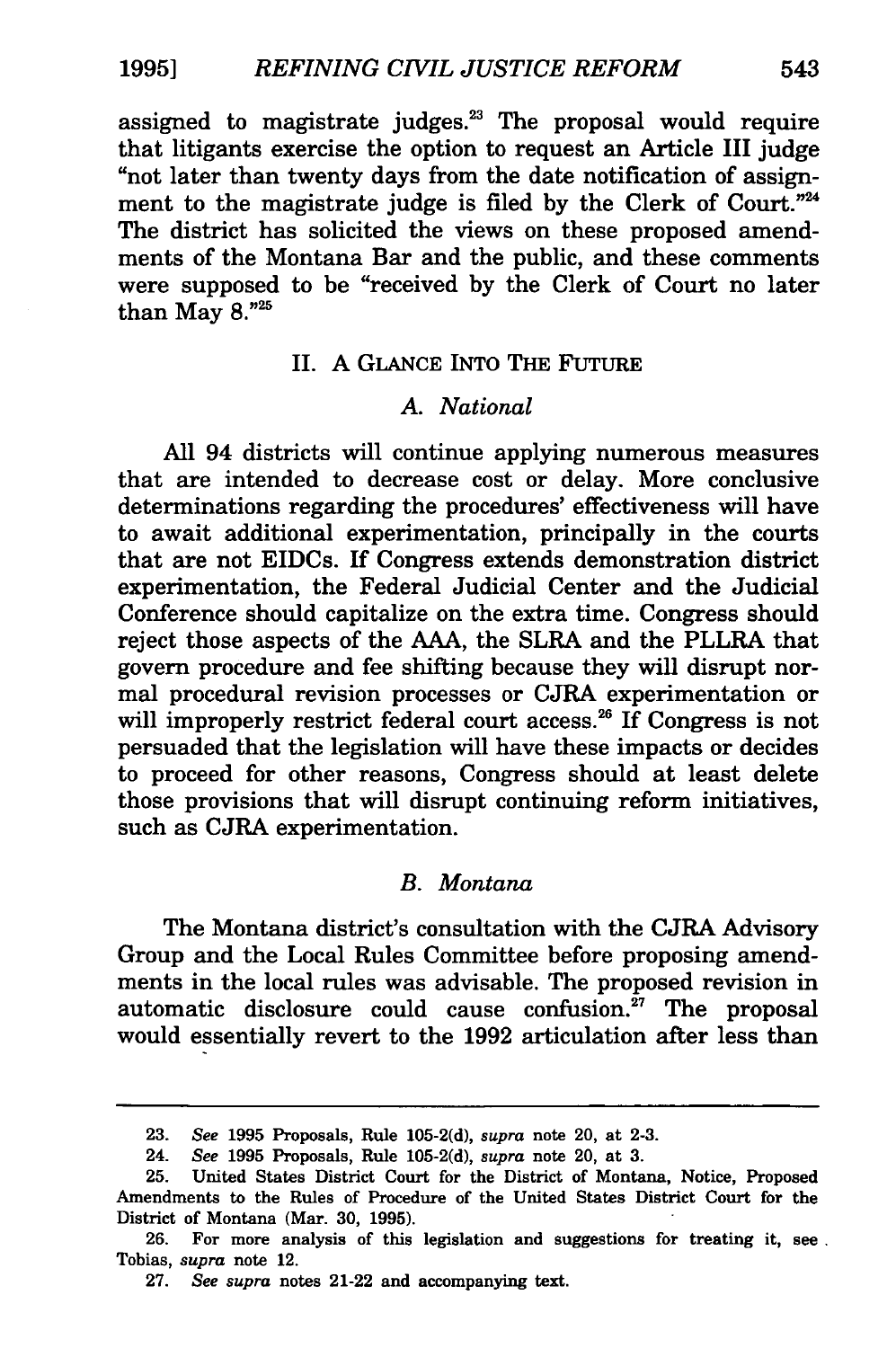assigned to magistrate judges. $23$  The proposal would require that litigants exercise the option to request an Article III judge "not later than twenty days from the date notification of assignment to the magistrate judge is filed by the Clerk of Court."<sup>24</sup> The district has solicited the views on these proposed amendments of the Montana Bar and the public, and these comments were supposed to be "received by the Clerk of Court no later than May  $8.^{"25}$ 

#### II. A GLANCE INTO THE FUTURE

# *A. National*

All 94 districts will continue applying numerous measures that are intended to decrease cost or delay. More conclusive determinations regarding the procedures' effectiveness will have to await additional experimentation, principally in the courts that are not EIDCs. If Congress extends demonstration district experimentation, the Federal Judicial Center and the Judicial Conference should capitalize on the extra time. Congress should reject those aspects of the AAA, the SLRA and the PLLRA that govern procedure and fee shifting because they will disrupt normal procedural revision processes or CJRA experimentation or will improperly restrict federal court access.<sup>26</sup> If Congress is not persuaded that the legislation will have these impacts or decides to proceed for other reasons, Congress should at least delete those provisions that will disrupt continuing reform initiatives, such as CJRA experimentation.

#### *B. Montana*

The Montana district's consultation with the CJRA Advisory Group and the Local Rules Committee before proposing amendments in the local rules was advisable. The proposed revision in automatic disclosure could cause confusion. $27$  The proposal would essentially revert to the 1992 articulation after less than

26. For more analysis of this legislation and suggestions for treating it, see . Tobias, *supra* note 12.

<sup>23.</sup> *See* 1995 Proposals, Rule 105-2(d), *supra* note 20, at 2-3.

<sup>24.</sup> *See* 1995 Proposals, Rule 105-2(d), *supra* note 20, at 3.

<sup>25.</sup> United States District Court for the District of Montana, Notice, Proposed Amendments to the Rules of Procedure of the United States District Court for the District of Montana (Mar. 30, 1995).

<sup>27.</sup> *See supra* notes 21-22 and accompanying text.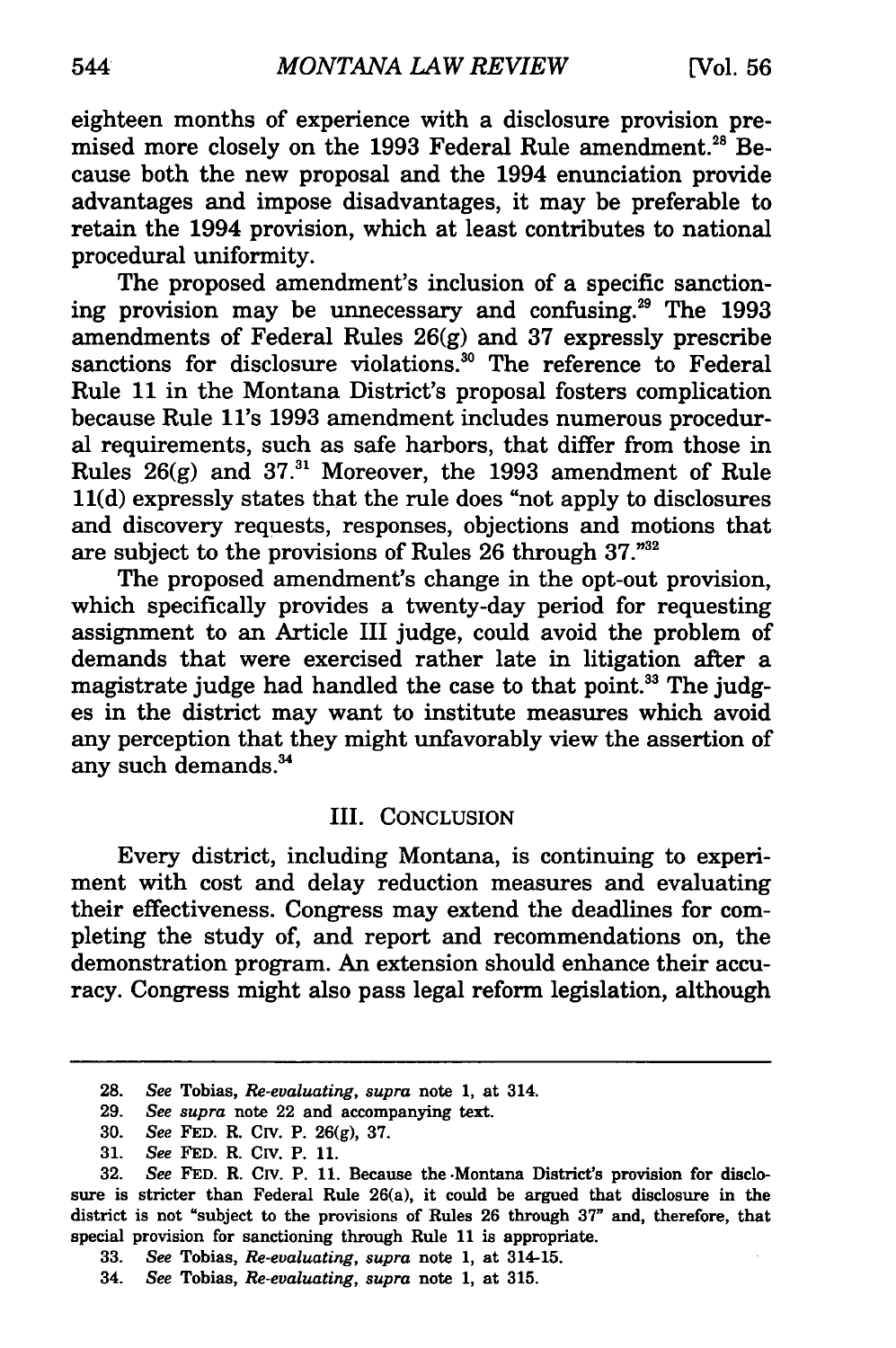eighteen months of experience with a disclosure provision premised more closely on the 1993 Federal Rule amendment.<sup>28</sup> Because both the new proposal and the 1994 enunciation provide advantages and impose disadvantages, it may be preferable to retain the 1994 provision, which at least contributes to national procedural uniformity.

The proposed amendment's inclusion of a specific sanctioning provision may be unnecessary and confusing.29 The 1993 amendments of Federal Rules  $26(g)$  and 37 expressly prescribe sanctions for disclosure violations.<sup>30</sup> The reference to Federal Rule 11 in the Montana District's proposal fosters complication because Rule ll's 1993 amendment includes numerous procedural requirements, such as safe harbors, that differ from those in Rules  $26(g)$  and  $37<sup>31</sup>$  Moreover, the 1993 amendment of Rule ll(d) expressly states that the rule does "not apply to disclosures and discovery requests, responses, objections and motions that are subject to the provisions of Rules 26 through 37."32

The proposed amendment's change in the opt-out provision, which specifically provides a twenty-day period for requesting assignment to an Article III judge, could avoid the problem of demands that were exercised rather late in litigation after a magistrate judge had handled the case to that point.<sup>33</sup> The judges in the district may want to institute measures which avoid any perception that they might unfavorably view the assertion of any such demands. 34

## III. CONCLUSION

Every district, including Montana, is continuing to experiment with cost and delay reduction measures and evaluating their effectiveness. Congress may extend the deadlines for completing the study of, and report and recommendations on, the demonstration program. An extension should enhance their accuracy. Congress might also pass legal reform legislation, although

<sup>28.</sup> *See* Tobias, *Re-evaluating, supra* note 1, at 314.

<sup>29.</sup> *See supra* note 22 and accompanying text.

<sup>30.</sup> *See* FED. R. CIV. P. 26(g), 37.

<sup>31.</sup> *See* FED. R. CIV. P. 11.

<sup>32.</sup> *See* FED. R. CIV. P. 11. Because the ·Montana District's provision for disclosure is stricter than Federal Rule 26(a), it could be argued that disclosure in the district is not "subject to the provisions of Rules 26 through 37" and, therefore, that special provision for sanctioning through Rule 11 is appropriate.

<sup>33.</sup> *See* Tobias, *Re-evaluating, supra* note 1, at 314-15.

<sup>34.</sup> *See* Tobias, *Re-evaluating, supra* note 1, at 315.